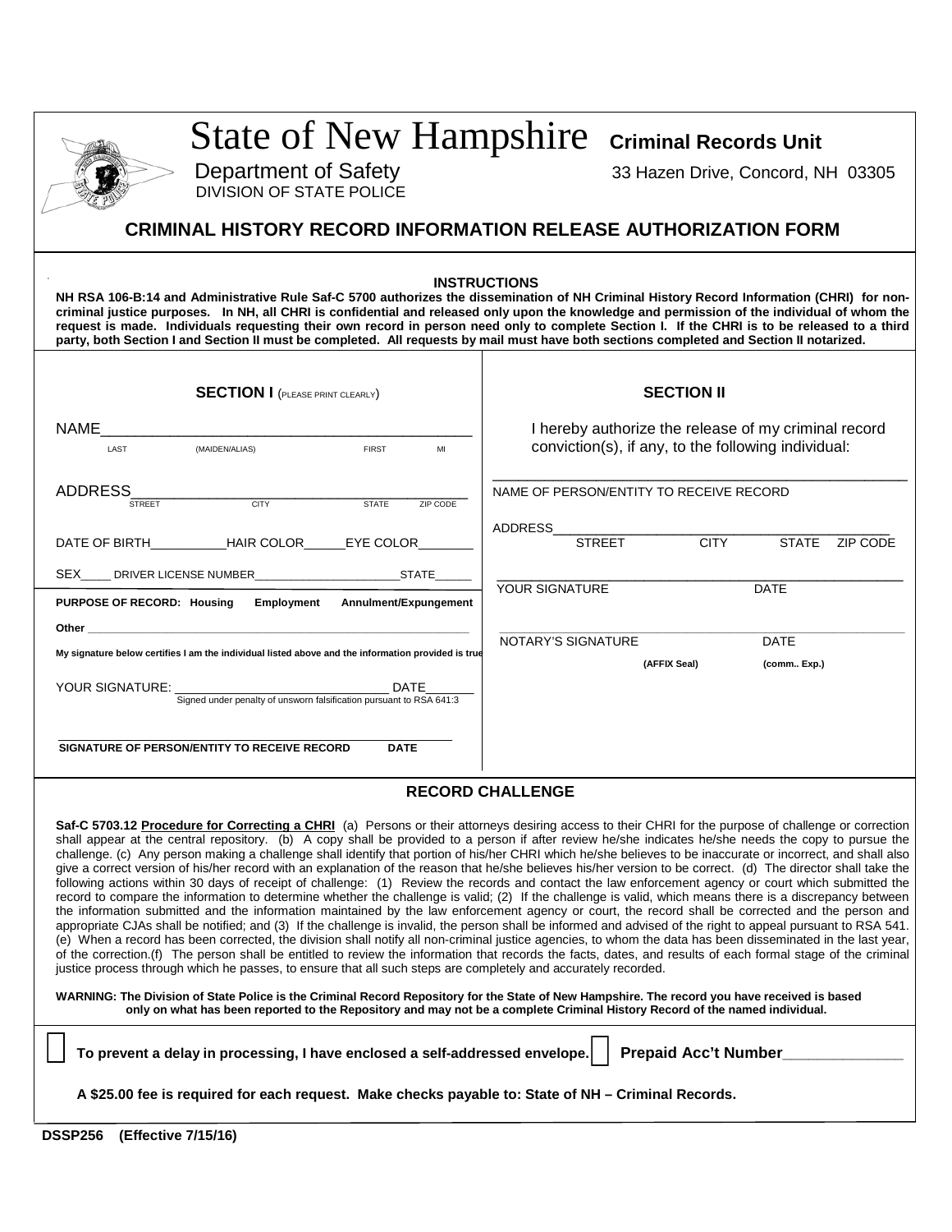| Department of Safety<br><b>DIVISION OF STATE POLICE</b>                                                                                                                                                                                                                                                                                                                                                                                                                                                                                                                                                                                                                                                                                                                                                                                                                                                                                                                                                                                                                                                                                                                                                                                                                                                                                                                                                                                                                                                                                                                                                                                                                                                                                     | State of New Hampshire Criminal Records Unit<br>33 Hazen Drive, Concord, NH 03305                           |
|---------------------------------------------------------------------------------------------------------------------------------------------------------------------------------------------------------------------------------------------------------------------------------------------------------------------------------------------------------------------------------------------------------------------------------------------------------------------------------------------------------------------------------------------------------------------------------------------------------------------------------------------------------------------------------------------------------------------------------------------------------------------------------------------------------------------------------------------------------------------------------------------------------------------------------------------------------------------------------------------------------------------------------------------------------------------------------------------------------------------------------------------------------------------------------------------------------------------------------------------------------------------------------------------------------------------------------------------------------------------------------------------------------------------------------------------------------------------------------------------------------------------------------------------------------------------------------------------------------------------------------------------------------------------------------------------------------------------------------------------|-------------------------------------------------------------------------------------------------------------|
| <b>CRIMINAL HISTORY RECORD INFORMATION RELEASE AUTHORIZATION FORM</b>                                                                                                                                                                                                                                                                                                                                                                                                                                                                                                                                                                                                                                                                                                                                                                                                                                                                                                                                                                                                                                                                                                                                                                                                                                                                                                                                                                                                                                                                                                                                                                                                                                                                       |                                                                                                             |
| NH RSA 106-B:14 and Administrative Rule Saf-C 5700 authorizes the dissemination of NH Criminal History Record Information (CHRI) for non-<br>criminal justice purposes. In NH, all CHRI is confidential and released only upon the knowledge and permission of the individual of whom the<br>request is made. Individuals requesting their own record in person need only to complete Section I. If the CHRI is to be released to a third<br>party, both Section I and Section II must be completed. All requests by mail must have both sections completed and Section II notarized.                                                                                                                                                                                                                                                                                                                                                                                                                                                                                                                                                                                                                                                                                                                                                                                                                                                                                                                                                                                                                                                                                                                                                       | <b>INSTRUCTIONS</b>                                                                                         |
| <b>SECTION I</b> (PLEASE PRINT CLEARLY)                                                                                                                                                                                                                                                                                                                                                                                                                                                                                                                                                                                                                                                                                                                                                                                                                                                                                                                                                                                                                                                                                                                                                                                                                                                                                                                                                                                                                                                                                                                                                                                                                                                                                                     | <b>SECTION II</b>                                                                                           |
| <b>NAME</b><br>(MAIDEN/ALIAS)<br><b>FIRST</b><br>LAST<br>MI                                                                                                                                                                                                                                                                                                                                                                                                                                                                                                                                                                                                                                                                                                                                                                                                                                                                                                                                                                                                                                                                                                                                                                                                                                                                                                                                                                                                                                                                                                                                                                                                                                                                                 | I hereby authorize the release of my criminal record<br>conviction(s), if any, to the following individual: |
| <b>ADDRESS</b><br>CITY<br><b>STATE</b><br>ZIP CODE<br><b>STREET</b>                                                                                                                                                                                                                                                                                                                                                                                                                                                                                                                                                                                                                                                                                                                                                                                                                                                                                                                                                                                                                                                                                                                                                                                                                                                                                                                                                                                                                                                                                                                                                                                                                                                                         | NAME OF PERSON/ENTITY TO RECEIVE RECORD                                                                     |
| DATE OF BIRTH____________HAIR COLOR______EYE COLOR_                                                                                                                                                                                                                                                                                                                                                                                                                                                                                                                                                                                                                                                                                                                                                                                                                                                                                                                                                                                                                                                                                                                                                                                                                                                                                                                                                                                                                                                                                                                                                                                                                                                                                         | <b>ADDRESS</b><br><b>CITY</b><br><b>STREET</b><br><b>STATE</b><br>ZIP CODE                                  |
| SEX<br><b>STATE</b><br>DRIVER LICENSE NUMBER______________                                                                                                                                                                                                                                                                                                                                                                                                                                                                                                                                                                                                                                                                                                                                                                                                                                                                                                                                                                                                                                                                                                                                                                                                                                                                                                                                                                                                                                                                                                                                                                                                                                                                                  | YOUR SIGNATURE<br><b>DATE</b>                                                                               |
| PURPOSE OF RECORD: Housing<br>Employment<br>Annulment/Expungement<br>Other                                                                                                                                                                                                                                                                                                                                                                                                                                                                                                                                                                                                                                                                                                                                                                                                                                                                                                                                                                                                                                                                                                                                                                                                                                                                                                                                                                                                                                                                                                                                                                                                                                                                  |                                                                                                             |
| My signature below certifies I am the individual listed above and the information provided is true                                                                                                                                                                                                                                                                                                                                                                                                                                                                                                                                                                                                                                                                                                                                                                                                                                                                                                                                                                                                                                                                                                                                                                                                                                                                                                                                                                                                                                                                                                                                                                                                                                          | NOTARY'S SIGNATURE<br><b>DATE</b><br>(AFFIX Seal)<br>(comm Exp.)                                            |
| YOUR SIGNATURE:<br><b>DATE</b><br>Signed under penalty of unsworn falsification pursuant to RSA 641:3                                                                                                                                                                                                                                                                                                                                                                                                                                                                                                                                                                                                                                                                                                                                                                                                                                                                                                                                                                                                                                                                                                                                                                                                                                                                                                                                                                                                                                                                                                                                                                                                                                       |                                                                                                             |
| SIGNATURE OF PERSON/ENTITY TO RECEIVE RECORD<br><b>DATE</b>                                                                                                                                                                                                                                                                                                                                                                                                                                                                                                                                                                                                                                                                                                                                                                                                                                                                                                                                                                                                                                                                                                                                                                                                                                                                                                                                                                                                                                                                                                                                                                                                                                                                                 |                                                                                                             |
|                                                                                                                                                                                                                                                                                                                                                                                                                                                                                                                                                                                                                                                                                                                                                                                                                                                                                                                                                                                                                                                                                                                                                                                                                                                                                                                                                                                                                                                                                                                                                                                                                                                                                                                                             | <b>RECORD CHALLENGE</b>                                                                                     |
| Saf-C 5703.12 Procedure for Correcting a CHRI (a) Persons or their attorneys desiring access to their CHRI for the purpose of challenge or correction<br>shall appear at the central repository. (b) A copy shall be provided to a person if after review he/she indicates he/she needs the copy to pursue the<br>challenge. (c) Any person making a challenge shall identify that portion of his/her CHRI which he/she believes to be inaccurate or incorrect, and shall also<br>give a correct version of his/her record with an explanation of the reason that he/she believes his/her version to be correct. (d) The director shall take the<br>following actions within 30 days of receipt of challenge: (1) Review the records and contact the law enforcement agency or court which submitted the<br>record to compare the information to determine whether the challenge is valid; (2) If the challenge is valid, which means there is a discrepancy between<br>the information submitted and the information maintained by the law enforcement agency or court, the record shall be corrected and the person and<br>appropriate CJAs shall be notified; and (3) If the challenge is invalid, the person shall be informed and advised of the right to appeal pursuant to RSA 541.<br>(e) When a record has been corrected, the division shall notify all non-criminal justice agencies, to whom the data has been disseminated in the last year,<br>of the correction.(f) The person shall be entitled to review the information that records the facts, dates, and results of each formal stage of the criminal<br>justice process through which he passes, to ensure that all such steps are completely and accurately recorded. |                                                                                                             |
| WARNING: The Division of State Police is the Criminal Record Repository for the State of New Hampshire. The record you have received is based<br>only on what has been reported to the Repository and may not be a complete Criminal History Record of the named individual.                                                                                                                                                                                                                                                                                                                                                                                                                                                                                                                                                                                                                                                                                                                                                                                                                                                                                                                                                                                                                                                                                                                                                                                                                                                                                                                                                                                                                                                                |                                                                                                             |
| To prevent a delay in processing, I have enclosed a self-addressed envelope.                                                                                                                                                                                                                                                                                                                                                                                                                                                                                                                                                                                                                                                                                                                                                                                                                                                                                                                                                                                                                                                                                                                                                                                                                                                                                                                                                                                                                                                                                                                                                                                                                                                                | <b>Prepaid Acc't Number</b>                                                                                 |
|                                                                                                                                                                                                                                                                                                                                                                                                                                                                                                                                                                                                                                                                                                                                                                                                                                                                                                                                                                                                                                                                                                                                                                                                                                                                                                                                                                                                                                                                                                                                                                                                                                                                                                                                             |                                                                                                             |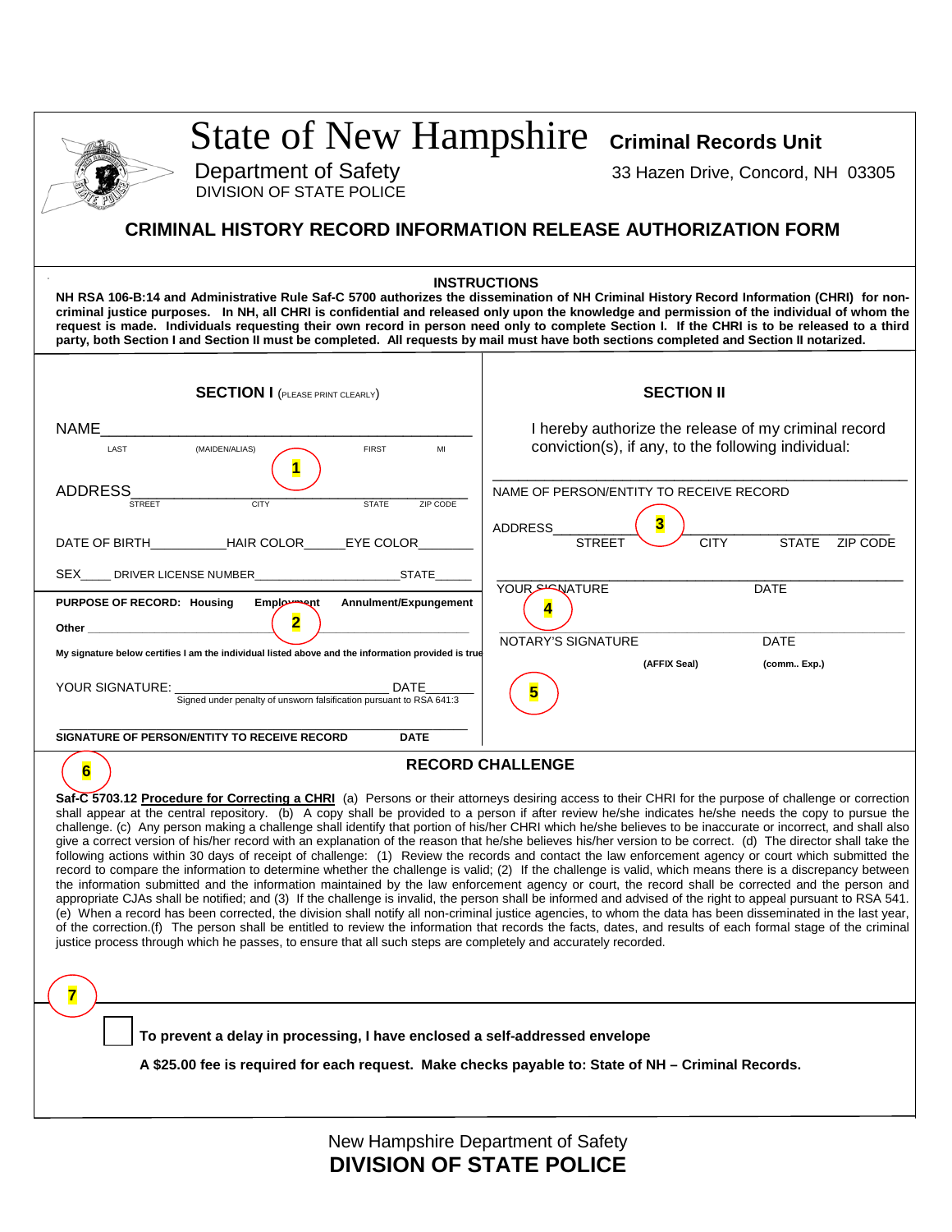|                                                                                                                                                                                                                                                                                                                                                                                                                                                                                                                                                                                                                                                                                                                                                                                                                                                                                                                                                                                                                                                                                                                                                                                                                                                                                                                                                                                                                                                                                                                                                                                                                                                                                                                                                                                  | State of New Hampshire Criminal Records Unit                                                                |  |
|----------------------------------------------------------------------------------------------------------------------------------------------------------------------------------------------------------------------------------------------------------------------------------------------------------------------------------------------------------------------------------------------------------------------------------------------------------------------------------------------------------------------------------------------------------------------------------------------------------------------------------------------------------------------------------------------------------------------------------------------------------------------------------------------------------------------------------------------------------------------------------------------------------------------------------------------------------------------------------------------------------------------------------------------------------------------------------------------------------------------------------------------------------------------------------------------------------------------------------------------------------------------------------------------------------------------------------------------------------------------------------------------------------------------------------------------------------------------------------------------------------------------------------------------------------------------------------------------------------------------------------------------------------------------------------------------------------------------------------------------------------------------------------|-------------------------------------------------------------------------------------------------------------|--|
| Department of Safety<br><b>DIVISION OF STATE POLICE</b>                                                                                                                                                                                                                                                                                                                                                                                                                                                                                                                                                                                                                                                                                                                                                                                                                                                                                                                                                                                                                                                                                                                                                                                                                                                                                                                                                                                                                                                                                                                                                                                                                                                                                                                          | 33 Hazen Drive, Concord, NH 03305                                                                           |  |
| <b>CRIMINAL HISTORY RECORD INFORMATION RELEASE AUTHORIZATION FORM</b>                                                                                                                                                                                                                                                                                                                                                                                                                                                                                                                                                                                                                                                                                                                                                                                                                                                                                                                                                                                                                                                                                                                                                                                                                                                                                                                                                                                                                                                                                                                                                                                                                                                                                                            |                                                                                                             |  |
| <b>INSTRUCTIONS</b><br>NH RSA 106-B:14 and Administrative Rule Saf-C 5700 authorizes the dissemination of NH Criminal History Record Information (CHRI) for non-<br>criminal justice purposes. In NH, all CHRI is confidential and released only upon the knowledge and permission of the individual of whom the<br>request is made. Individuals requesting their own record in person need only to complete Section I. If the CHRI is to be released to a third<br>party, both Section I and Section II must be completed. All requests by mail must have both sections completed and Section II notarized.                                                                                                                                                                                                                                                                                                                                                                                                                                                                                                                                                                                                                                                                                                                                                                                                                                                                                                                                                                                                                                                                                                                                                                     |                                                                                                             |  |
| <b>SECTION I</b> (PLEASE PRINT CLEARLY)                                                                                                                                                                                                                                                                                                                                                                                                                                                                                                                                                                                                                                                                                                                                                                                                                                                                                                                                                                                                                                                                                                                                                                                                                                                                                                                                                                                                                                                                                                                                                                                                                                                                                                                                          | <b>SECTION II</b>                                                                                           |  |
| <b>NAME</b><br>LAST<br>(MAIDEN/ALIAS)<br><b>FIRST</b><br>MI                                                                                                                                                                                                                                                                                                                                                                                                                                                                                                                                                                                                                                                                                                                                                                                                                                                                                                                                                                                                                                                                                                                                                                                                                                                                                                                                                                                                                                                                                                                                                                                                                                                                                                                      | I hereby authorize the release of my criminal record<br>conviction(s), if any, to the following individual: |  |
| 1<br><b>ADDRESS</b><br><b>CITY</b><br><b>STATE</b><br><b>STREET</b><br>ZIP CODE                                                                                                                                                                                                                                                                                                                                                                                                                                                                                                                                                                                                                                                                                                                                                                                                                                                                                                                                                                                                                                                                                                                                                                                                                                                                                                                                                                                                                                                                                                                                                                                                                                                                                                  | NAME OF PERSON/ENTITY TO RECEIVE RECORD                                                                     |  |
| <b>HAIR COLOR</b><br>DATE OF BIRTH<br>EYE COLOR                                                                                                                                                                                                                                                                                                                                                                                                                                                                                                                                                                                                                                                                                                                                                                                                                                                                                                                                                                                                                                                                                                                                                                                                                                                                                                                                                                                                                                                                                                                                                                                                                                                                                                                                  | <b>ADDRESS</b><br><b>CITY</b><br><b>STATE</b><br><b>ZIP CODE</b>                                            |  |
| SEX_____ DRIVER LICENSE NUMBER<br><b>STATE</b><br>PURPOSE OF RECORD: Housing<br><b>Employment</b><br>Annulment/Expungement<br>$\overline{\mathbf{2}}$                                                                                                                                                                                                                                                                                                                                                                                                                                                                                                                                                                                                                                                                                                                                                                                                                                                                                                                                                                                                                                                                                                                                                                                                                                                                                                                                                                                                                                                                                                                                                                                                                            | YOUR <b>PROMATURE</b><br><b>DATE</b><br>4                                                                   |  |
| <b>Other Contract Contract Contract Contract Contract Contract Contract Contract Contract Contract Contract Contract Contract Contract Contract Contract Contract Contract Contract Contract Contract Contract Contract Contra</b><br>My signature below certifies I am the individual listed above and the information provided is true                                                                                                                                                                                                                                                                                                                                                                                                                                                                                                                                                                                                                                                                                                                                                                                                                                                                                                                                                                                                                                                                                                                                                                                                                                                                                                                                                                                                                                         | NOTARY'S SIGNATURE<br>DATE<br>(AFFIX Seal)<br>(comm Exp.)                                                   |  |
| YOUR SIGNATURE:<br>DATE<br>Signed under penalty of unsworn falsification pursuant to RSA 641:3                                                                                                                                                                                                                                                                                                                                                                                                                                                                                                                                                                                                                                                                                                                                                                                                                                                                                                                                                                                                                                                                                                                                                                                                                                                                                                                                                                                                                                                                                                                                                                                                                                                                                   |                                                                                                             |  |
| SIGNATURE OF PERSON/ENTITY TO RECEIVE RECORD<br><b>DATE</b>                                                                                                                                                                                                                                                                                                                                                                                                                                                                                                                                                                                                                                                                                                                                                                                                                                                                                                                                                                                                                                                                                                                                                                                                                                                                                                                                                                                                                                                                                                                                                                                                                                                                                                                      |                                                                                                             |  |
| <b>RECORD CHALLENGE</b><br>6<br>Saf-C 5703.12 Procedure for Correcting a CHRI (a) Persons or their attorneys desiring access to their CHRI for the purpose of challenge or correction<br>shall appear at the central repository. (b) A copy shall be provided to a person if after review he/she indicates he/she needs the copy to pursue the<br>challenge. (c) Any person making a challenge shall identify that portion of his/her CHRI which he/she believes to be inaccurate or incorrect, and shall also<br>give a correct version of his/her record with an explanation of the reason that he/she believes his/her version to be correct. (d) The director shall take the<br>following actions within 30 days of receipt of challenge: (1) Review the records and contact the law enforcement agency or court which submitted the<br>record to compare the information to determine whether the challenge is valid; (2) If the challenge is valid, which means there is a discrepancy between<br>the information submitted and the information maintained by the law enforcement agency or court, the record shall be corrected and the person and<br>appropriate CJAs shall be notified; and (3) If the challenge is invalid, the person shall be informed and advised of the right to appeal pursuant to RSA 541.<br>(e) When a record has been corrected, the division shall notify all non-criminal justice agencies, to whom the data has been disseminated in the last year,<br>of the correction.(f) The person shall be entitled to review the information that records the facts, dates, and results of each formal stage of the criminal<br>justice process through which he passes, to ensure that all such steps are completely and accurately recorded.<br>7 |                                                                                                             |  |
| To prevent a delay in processing, I have enclosed a self-addressed envelope<br>A \$25.00 fee is required for each request. Make checks payable to: State of NH – Criminal Records.                                                                                                                                                                                                                                                                                                                                                                                                                                                                                                                                                                                                                                                                                                                                                                                                                                                                                                                                                                                                                                                                                                                                                                                                                                                                                                                                                                                                                                                                                                                                                                                               |                                                                                                             |  |
|                                                                                                                                                                                                                                                                                                                                                                                                                                                                                                                                                                                                                                                                                                                                                                                                                                                                                                                                                                                                                                                                                                                                                                                                                                                                                                                                                                                                                                                                                                                                                                                                                                                                                                                                                                                  |                                                                                                             |  |

New Hampshire Department of Safety **DIVISION OF STATE POLICE**